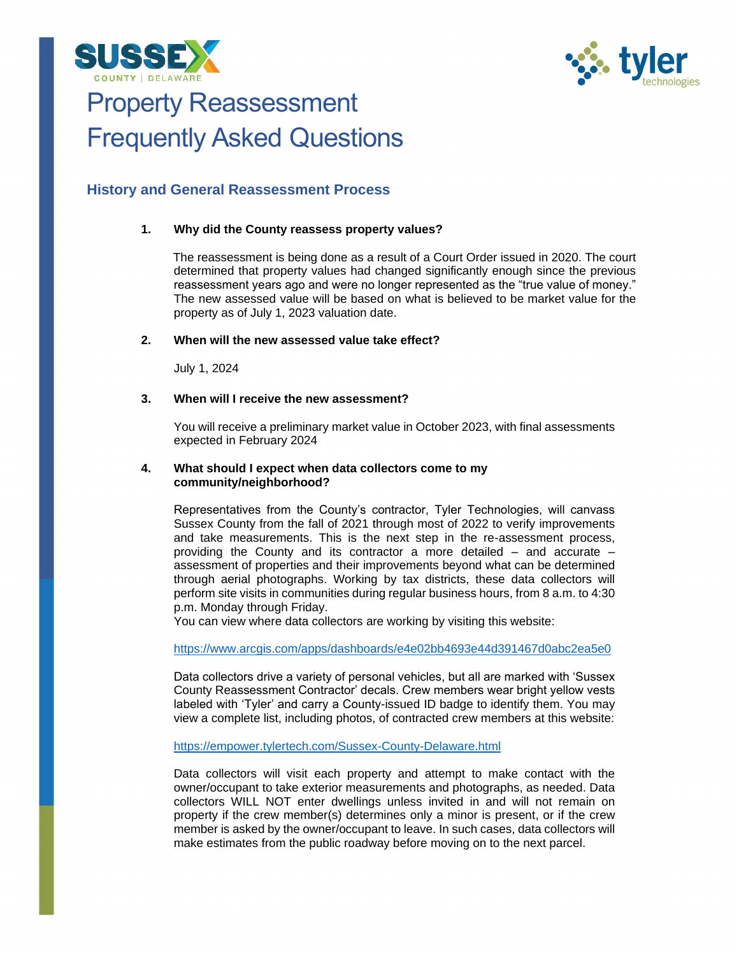



# Property Reassessment Frequently Asked Questions

## **History and General Reassessment Process**

## **1. Why did the County reassess property values?**

The reassessment is being done as a result of a Court Order issued in 2020. The court determined that property values had changed significantly enough since the previous reassessment years ago and were no longer represented as the "true value of money." The new assessed value will be based on what is believed to be market value for the property as of July 1, 2023 valuation date.

## **2. When will the new assessed value take effect?**

July 1, 2024

## **3. When will I receive the new assessment?**

You will receive a preliminary market value in October 2023, with final assessments expected in February 2024

## **4. What should I expect when data collectors come to my community/neighborhood?**

Representatives from the County's contractor, Tyler Technologies, will canvass Sussex County from the fall of 2021 through most of 2022 to verify improvements and take measurements. This is the next step in the re-assessment process, providing the County and its contractor a more detailed – and accurate – assessment of properties and their improvements beyond what can be determined through aerial photographs. Working by tax districts, these data collectors will perform site visits in communities during regular business hours, from 8 a.m. to 4:30 p.m. Monday through Friday.

You can view where data collectors are working by visiting this website:

<https://www.arcgis.com/apps/dashboards/e4e02bb4693e44d391467d0abc2ea5e0>

Data collectors drive a variety of personal vehicles, but all are marked with 'Sussex County Reassessment Contractor' decals. Crew members wear bright yellow vests labeled with 'Tyler' and carry a County-issued ID badge to identify them. You may view a complete list, including photos, of contracted crew members at this website:

<https://empower.tylertech.com/Sussex-County-Delaware.html>

Data collectors will visit each property and attempt to make contact with the owner/occupant to take exterior measurements and photographs, as needed. Data collectors WILL NOT enter dwellings unless invited in and will not remain on property if the crew member(s) determines only a minor is present, or if the crew member is asked by the owner/occupant to leave. In such cases, data collectors will make estimates from the public roadway before moving on to the next parcel.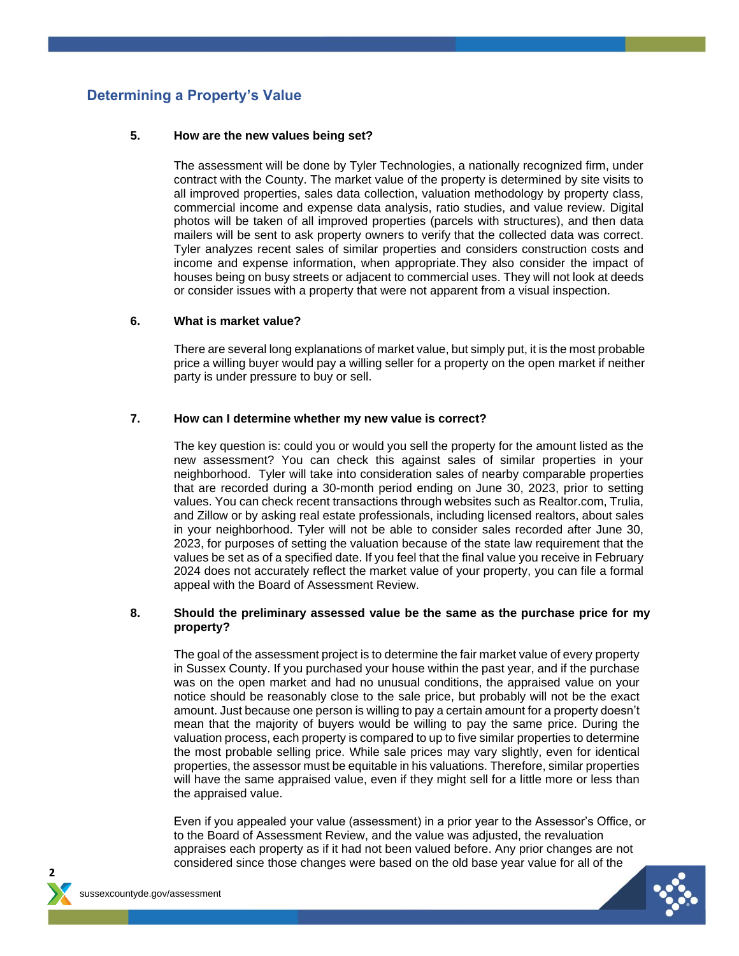# **Determining a Property's Value**

## **5. How are the new values being set?**

The assessment will be done by Tyler Technologies, a nationally recognized firm, under contract with the County. The market value of the property is determined by site visits to all improved properties, sales data collection, valuation methodology by property class, commercial income and expense data analysis, ratio studies, and value review. Digital photos will be taken of all improved properties (parcels with structures), and then data mailers will be sent to ask property owners to verify that the collected data was correct. Tyler analyzes recent sales of similar properties and considers construction costs and income and expense information, when appropriate.They also consider the impact of houses being on busy streets or adjacent to commercial uses. They will not look at deeds or consider issues with a property that were not apparent from a visual inspection.

## **6. What is market value?**

There are several long explanations of market value, but simply put, it is the most probable price a willing buyer would pay a willing seller for a property on the open market if neither party is under pressure to buy or sell.

## **7. How can I determine whether my new value is correct?**

The key question is: could you or would you sell the property for the amount listed as the new assessment? You can check this against sales of similar properties in your neighborhood. Tyler will take into consideration sales of nearby comparable properties that are recorded during a 30-month period ending on June 30, 2023, prior to setting values. You can check recent transactions through websites such as Realtor.com, Trulia, and Zillow or by asking real estate professionals, including licensed realtors, about sales in your neighborhood. Tyler will not be able to consider sales recorded after June 30, 2023, for purposes of setting the valuation because of the state law requirement that the values be set as of a specified date. If you feel that the final value you receive in February 2024 does not accurately reflect the market value of your property, you can file a formal appeal with the Board of Assessment Review.

## **8. Should the preliminary assessed value be the same as the purchase price for my property?**

The goal of the assessment project is to determine the fair market value of every property in Sussex County. If you purchased your house within the past year, and if the purchase was on the open market and had no unusual conditions, the appraised value on your notice should be reasonably close to the sale price, but probably will not be the exact amount. Just because one person is willing to pay a certain amount for a property doesn't mean that the majority of buyers would be willing to pay the same price. During the valuation process, each property is compared to up to five similar properties to determine the most probable selling price. While sale prices may vary slightly, even for identical properties, the assessor must be equitable in his valuations. Therefore, similar properties will have the same appraised value, even if they might sell for a little more or less than the appraised value.

Even if you appealed your value (assessment) in a prior year to the Assessor's Office, or to the Board of Assessment Review, and the value was adjusted, the revaluation appraises each property as if it had not been valued before. Any prior changes are not considered since those changes were based on the old base year value for all of the



**2**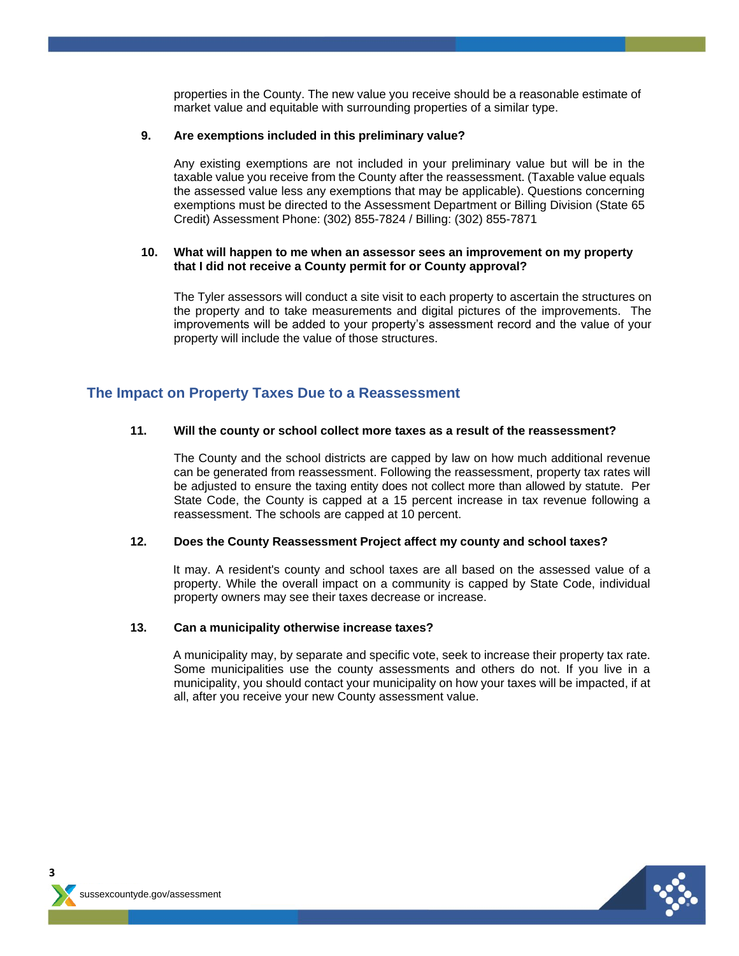properties in the County. The new value you receive should be a reasonable estimate of market value and equitable with surrounding properties of a similar type.

## **9. Are exemptions included in this preliminary value?**

Any existing exemptions are not included in your preliminary value but will be in the taxable value you receive from the County after the reassessment. (Taxable value equals the assessed value less any exemptions that may be applicable). Questions concerning exemptions must be directed to the Assessment Department or Billing Division (State 65 Credit) Assessment Phone: (302) 855-7824 / Billing: (302) 855-7871

## **10. What will happen to me when an assessor sees an improvement on my property that I did not receive a County permit for or County approval?**

The Tyler assessors will conduct a site visit to each property to ascertain the structures on the property and to take measurements and digital pictures of the improvements. The improvements will be added to your property's assessment record and the value of your property will include the value of those structures.

## **The Impact on Property Taxes Due to a Reassessment**

#### **11. Will the county or school collect more taxes as a result of the reassessment?**

The County and the school districts are capped by law on how much additional revenue can be generated from reassessment. Following the reassessment, property tax rates will be adjusted to ensure the taxing entity does not collect more than allowed by statute. Per State Code, the County is capped at a 15 percent increase in tax revenue following a reassessment. The schools are capped at 10 percent.

#### **12. Does the County Reassessment Project affect my county and school taxes?**

It may. A resident's county and school taxes are all based on the assessed value of a property. While the overall impact on a community is capped by State Code, individual property owners may see their taxes decrease or increase.

#### **13. Can a municipality otherwise increase taxes?**

A municipality may, by separate and specific vote, seek to increase their property tax rate. Some municipalities use the county assessments and others do not. If you live in a municipality, you should contact your municipality on how your taxes will be impacted, if at all, after you receive your new County assessment value.



**3**